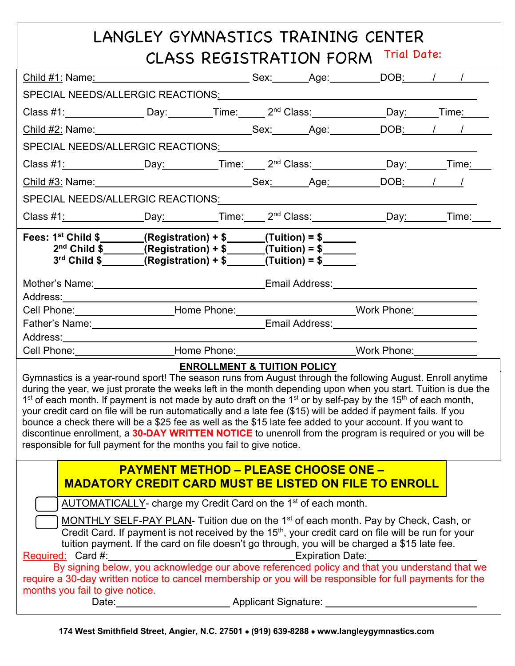## LANGLEY GYMNASTICS TRAINING CENTER CLASS REGISTRATION FORM Trial Date: Child #1: Name: Sex: Age: DOB: / / ! SPECIAL NEEDS/ALLERGIC REACTIONS: Class #1: \_\_\_\_\_\_\_\_\_\_\_\_\_\_\_\_\_\_\_\_\_Day: \_\_\_\_\_\_\_\_\_\_\_\_Time: \_\_\_\_\_\_\_ 2<sup>nd</sup> Class: \_\_\_\_\_\_\_\_\_\_\_\_\_\_Day: \_\_\_\_\_\_Time: \_\_\_\_\_ Child #2: Name: Sex: Sex: Age: DOB: / / SPECIAL NEEDS/ALLERGIC REACTIONS: Class #1: Day: Time: 2nd Class: Day: Time: ! Child #3: Name: Sex: Age: DOB: / / SPECIAL NEEDS/ALLERGIC REACTIONS: Class #1: Day: Time: 2nd Class: Day: Time: ! **Fees: 1st Child \$ (Registration) + \$ (Tuition) = \$ 2nd Child \$ (Registration) + \$ (Tuition) = \$ 3rd Child \$ (Registration) + \$ (Tuition) = \$**  Mother's Name: Name: Name: Email Address: Email Address: Address: Cell Phone: \_\_\_\_\_\_\_\_\_\_\_\_\_\_\_\_\_\_\_\_\_\_\_Home Phone: \_\_\_\_\_\_\_\_\_\_\_\_\_\_\_\_\_\_\_\_\_\_\_\_\_\_Work Phone: \_\_\_\_\_\_\_\_\_\_\_\_\_\_ Father's Name: Email Address: Address: **Address:** Cell Phone: Home Phone: Work Phone: **ENROLLMENT & TUITION POLICY** Gymnastics is a year-round sport! The season runs from August through the following August. Enroll anytime during the year, we just prorate the weeks left in the month depending upon when you start. Tuition is due the  $1<sup>st</sup>$  of each month. If payment is not made by auto draft on the  $1<sup>st</sup>$  or by self-pay by the 15<sup>th</sup> of each month, your credit card on file will be run automatically and a late fee (\$15) will be added if payment fails. If you bounce a check there will be a \$25 fee as well as the \$15 late fee added to your account. If you want to discontinue enrollment, a **30-DAY WRITTEN NOTICE** to unenroll from the program is required or you will be responsible for full payment for the months you fail to give notice. **PAYMENT METHOD – PLEASE CHOOSE ONE – MADATORY CREDIT CARD MUST BE LISTED ON FILE TO ENROLL**AUTOMATICALLY- charge my Credit Card on the 1<sup>st</sup> of each month. ) MONTHLY SELF-PAY PLAN- Tuition due on the 1<sup>st</sup> of each month. Pay by Check, Cash, or Credit Card. If payment is not received by the 15<sup>th</sup>, your credit card on file will be run for your tuition payment. If the card on file doesn't go through, you will be charged a \$15 late fee. Required: Card #: Network: Expiration Date: By signing below, you acknowledge our above referenced policy and that you understand that we require a 30-day written notice to cancel membership or you will be responsible for full payments for the months you fail to give notice. Date: <u>New York: Applicant Signature:</u> New York: New York: New York: New York: New York: New York: New York: New York: New York: New York: New York: New York: New York: New York: New York: New York: New York: New York: New